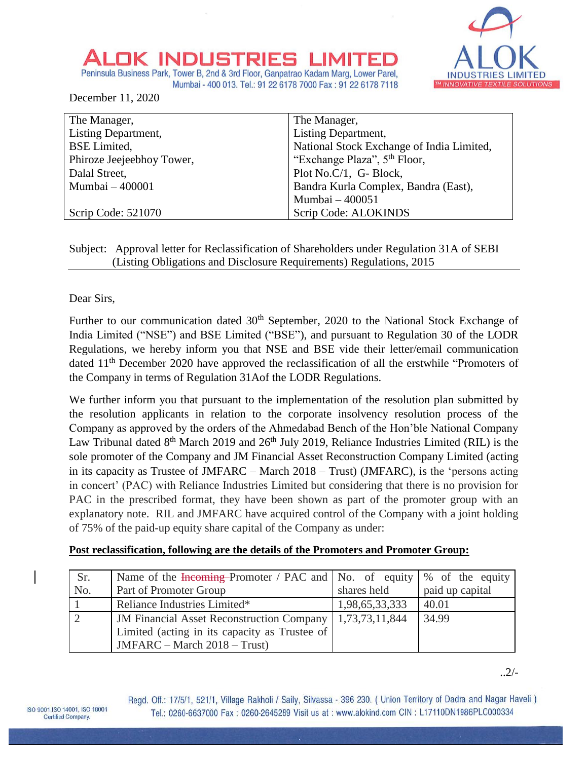# INDUSTRIE

Peninsula Business Park, Tower B, 2nd & 3rd Floor, Ganpatrao Kadam Marg, Lower Parel, Mumbai - 400 013. Tel.: 91 22 6178 7000 Fax: 91 22 6178 7118

December 11, 2020

| The Manager,              | The Manager,                              |
|---------------------------|-------------------------------------------|
| Listing Department,       | Listing Department,                       |
| <b>BSE</b> Limited,       | National Stock Exchange of India Limited, |
| Phiroze Jeejeebhoy Tower, | "Exchange Plaza", 5 <sup>th</sup> Floor,  |
| Dalal Street,             | Plot No.C/1, G- Block,                    |
| Mumbai - 400001           | Bandra Kurla Complex, Bandra (East),      |
|                           | Mumbai - 400051                           |
| Scrip Code: 521070        | Scrip Code: ALOKINDS                      |

# Subject: Approval letter for Reclassification of Shareholders under Regulation 31A of SEBI (Listing Obligations and Disclosure Requirements) Regulations, 2015

Dear Sirs,

Further to our communication dated 30<sup>th</sup> September, 2020 to the National Stock Exchange of India Limited ("NSE") and BSE Limited ("BSE"), and pursuant to Regulation 30 of the LODR Regulations, we hereby inform you that NSE and BSE vide their letter/email communication dated 11<sup>th</sup> December 2020 have approved the reclassification of all the erstwhile "Promoters of the Company in terms of Regulation 31Aof the LODR Regulations.

We further inform you that pursuant to the implementation of the resolution plan submitted by the resolution applicants in relation to the corporate insolvency resolution process of the Company as approved by the orders of the Ahmedabad Bench of the Hon'ble National Company Law Tribunal dated  $8<sup>th</sup>$  March 2019 and 26<sup>th</sup> July 2019, Reliance Industries Limited (RIL) is the sole promoter of the Company and JM Financial Asset Reconstruction Company Limited (acting in its capacity as Trustee of JMFARC – March 2018 – Trust) (JMFARC), is the 'persons acting in concert' (PAC) with Reliance Industries Limited but considering that there is no provision for PAC in the prescribed format, they have been shown as part of the promoter group with an explanatory note. RIL and JMFARC have acquired control of the Company with a joint holding of 75% of the paid-up equity share capital of the Company as under:

# **Post reclassification, following are the details of the Promoters and Promoter Group:**

| Sr. | Name of the $\frac{1}{2}$ From the $\frac{1}{2}$ Prom the research $\frac{1}{2}$ No. of equity $\frac{1}{2}$ of the equity |                |                 |
|-----|----------------------------------------------------------------------------------------------------------------------------|----------------|-----------------|
| No. | Part of Promoter Group                                                                                                     | shares held    | paid up capital |
|     | Reliance Industries Limited*                                                                                               | 1,98,65,33,333 | 40.01           |
|     | IM Financial Asset Reconstruction Company   1,73,73,11,844                                                                 |                | 34.99           |
|     | Limited (acting in its capacity as Trustee of                                                                              |                |                 |
|     | $JMFARC - March 2018 - Trust)$                                                                                             |                |                 |

..2/-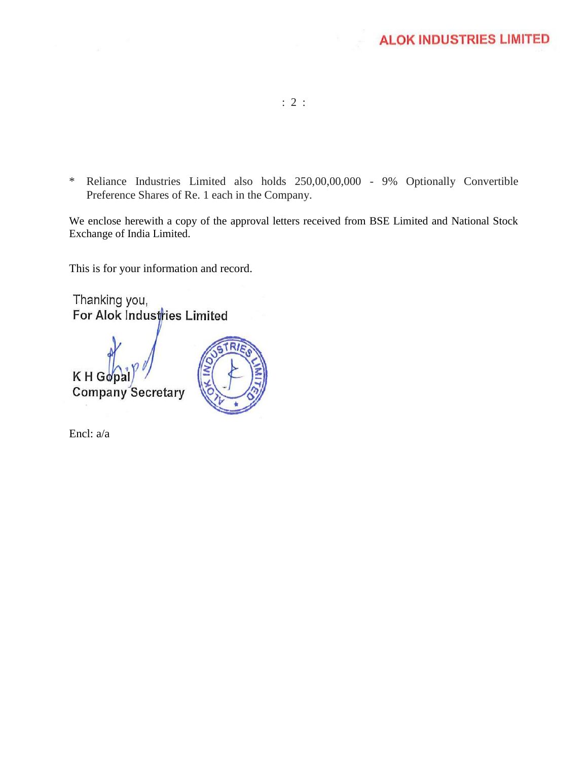- : 2 :
- \* Reliance Industries Limited also holds 250,00,00,000 9% Optionally Convertible Preference Shares of Re. 1 each in the Company.

We enclose herewith a copy of the approval letters received from BSE Limited and National Stock Exchange of India Limited.

This is for your information and record.

Thanking you, For Alok Industries Limited





Encl: a/a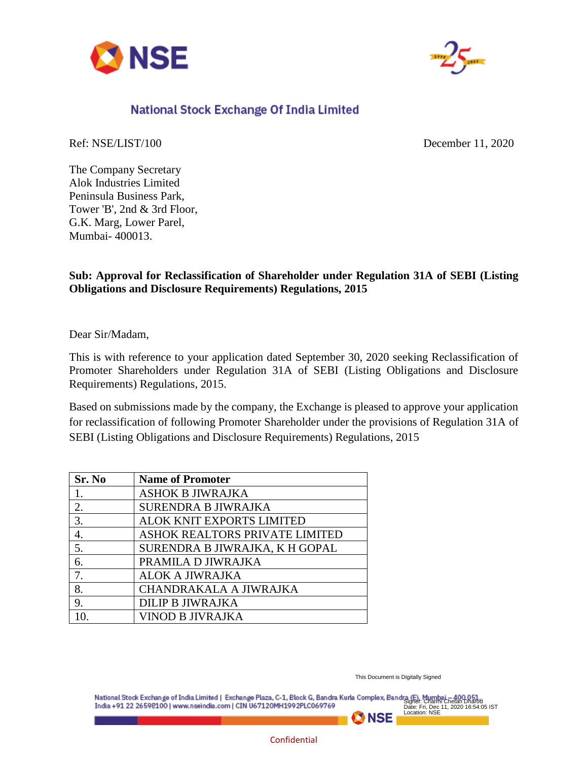



# National Stock Exchange Of India Limited

Ref: NSE/LIST/100 December 11, 2020

The Company Secretary Alok Industries Limited Peninsula Business Park, Tower 'B', 2nd & 3rd Floor, G.K. Marg, Lower Parel, Mumbai- 400013.

# **Sub: Approval for Reclassification of Shareholder under Regulation 31A of SEBI (Listing Obligations and Disclosure Requirements) Regulations, 2015**

Dear Sir/Madam,

This is with reference to your application dated September 30, 2020 seeking Reclassification of Promoter Shareholders under Regulation 31A of SEBI (Listing Obligations and Disclosure Requirements) Regulations, 2015.

Based on submissions made by the company, the Exchange is pleased to approve your application for reclassification of following Promoter Shareholder under the provisions of Regulation 31A of SEBI (Listing Obligations and Disclosure Requirements) Regulations, 2015

| Sr. No | <b>Name of Promoter</b>        |
|--------|--------------------------------|
|        | <b>ASHOK B JIWRAJKA</b>        |
| 2.     | <b>SURENDRA B JIWRAJKA</b>     |
| 3.     | ALOK KNIT EXPORTS LIMITED      |
| 4.     | ASHOK REALTORS PRIVATE LIMITED |
| 5.     | SURENDRA B JIWRAJKA, K H GOPAL |
| 6.     | PRAMILA D JIWRAJKA             |
| 7.     | <b>ALOK A JIWRAJKA</b>         |
| 8.     | CHANDRAKALA A JIWRAJKA         |
| 9.     | <b>DILIP B JIWRAJKA</b>        |
|        | <b>VINOD B JIVRAJKA</b>        |

This Document is Digitally Signed

**EX NSE** 

National Stock Exchange of India Limited | Exchange Plaza, C-1, Block G, Bandra Kurla Complex, Bandra (E), Mumbai - 400 051 India +91 22 26598100 | www.nseindia.com | CIN U67120MH1992PLC069769 Date: Fri, Dec 11, 2020 16:54:05 IST Location: NSE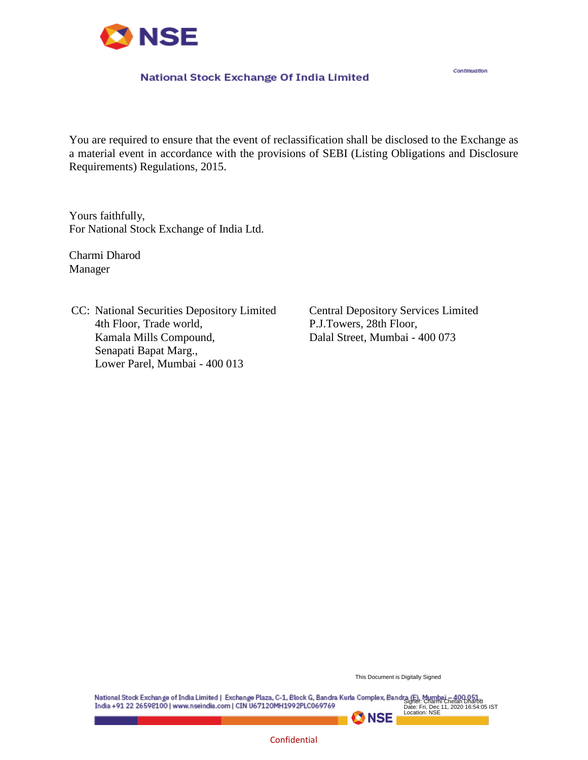

#### National Stock Exchange Of India Limited

Continuation

You are required to ensure that the event of reclassification shall be disclosed to the Exchange as a material event in accordance with the provisions of SEBI (Listing Obligations and Disclosure Requirements) Regulations, 2015.

Yours faithfully, For National Stock Exchange of India Ltd.

Charmi Dharod Manager

CC: National Securities Depository Limited 4th Floor, Trade world, Kamala Mills Compound, Senapati Bapat Marg., Lower Parel, Mumbai - 400 013

Central Depository Services Limited P.J.Towers, 28th Floor, Dalal Street, Mumbai - 400 073

This Document is Digitally Signed

**EX NSE** 

Signer: Charmi Chetan Dharod Date: Fri, Dec 11, 2020 16:54:05 IST Location: NSEIndia +91 22 26598100 | www.nseindia.com | CIN U67120MH1992PLC069769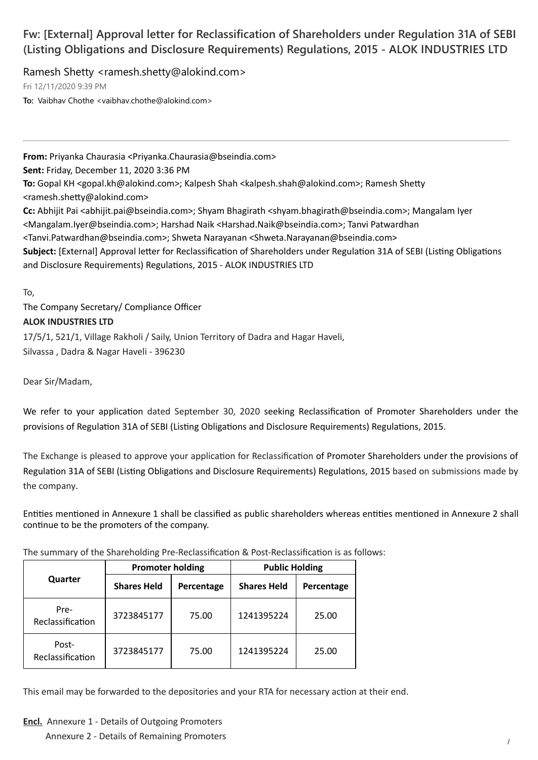# **Fw: [External] Approval letter for Reclassification of Shareholders under Regulation 31A of SEBI (Listing Obligations and Disclosure Requirements) Regulations, 2015 - ALOK INDUSTRIES LTD**

Ramesh Shetty <ramesh.shetty@alokind.com>

Fri 12/11/2020 9:39 PM

**To:** Vaibhav Chothe <vaibhav.chothe@alokind.com>

**From:** Priyanka Chaurasia <Priyanka.Chaurasia@bseindia.com> **Sent:** Friday, December 11, 2020 3:36 PM **To:** Gopal KH <gopal.kh@alokind.com>; Kalpesh Shah <kalpesh.shah@alokind.com>; Ramesh Shetty <ramesh.shetty@alokind.com> **Cc:** Abhijit Pai <abhijit.pai@bseindia.com>; Shyam Bhagirath <shyam.bhagirath@bseindia.com>; Mangalam Iyer <Mangalam.Iyer@bseindia.com>; Harshad Naik <Harshad.Naik@bseindia.com>; Tanvi Patwardhan <Tanvi.Patwardhan@bseindia.com>; Shweta Narayanan <Shweta.Narayanan@bseindia.com> Subject: [External] Approval letter for Reclassification of Shareholders under Regulation 31A of SEBI (Listing Obligations and Disclosure Requirements) Regulations, 2015 - ALOK INDUSTRIES LTD

To,

The Company Secretary/ Compliance Officer **ALOK INDUSTRIES LTD** 17/5/1, 521/1, Village Rakholi / Saily, Union Territory of Dadra and Hagar Haveli,

Silvassa , Dadra & Nagar Haveli - 396230

Dear Sir/Madam,

We refer to your application dated September 30, 2020 seeking Reclassification of Promoter Shareholders under the provisions of Regulation 31A of SEBI (Listing Obligations and Disclosure Requirements) Regulations, 2015.

The Exchange is pleased to approve your application for Reclassification of Promoter Shareholders under the provisions of Regulation 31A of SEBI (Listing Obligations and Disclosure Requirements) Regulations, 2015 based on submissions made by the company.

Entities mentioned in Annexure 1 shall be classified as public shareholders whereas entities mentioned in Annexure 2 shall continue to be the promoters of the company.

The summary of the Shareholding Pre-Reclassification & Post-Reclassification is as follows:

|                           | <b>Promoter holding</b> |            | <b>Public Holding</b> |            |
|---------------------------|-------------------------|------------|-----------------------|------------|
| Quarter                   | <b>Shares Held</b>      | Percentage | <b>Shares Held</b>    | Percentage |
| Pre-<br>Reclassification  | 3723845177              | 75.00      | 1241395224            | 25.00      |
| Post-<br>Reclassification | 3723845177              | 75.00      | 1241395224            | 25.00      |

This email may be forwarded to the depositories and your RTA for necessary action at their end.

**Encl.** Annexure 1 - Details of Outgoing Promoters

Annexure 2 - Details of Remaining Promoters